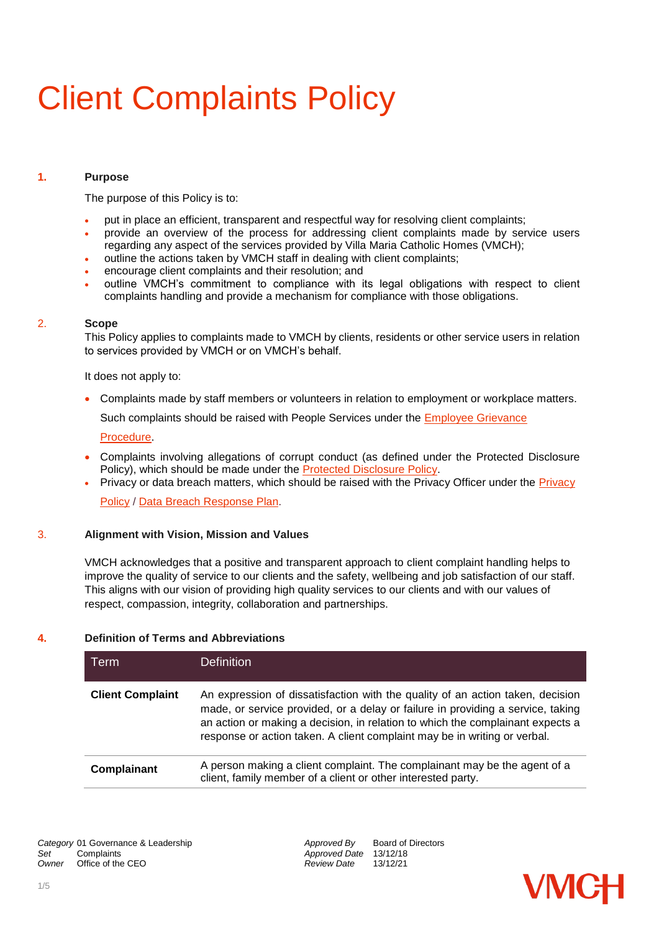# Client Complaints Policy

# **1. Purpose**

The purpose of this Policy is to:

- put in place an efficient, transparent and respectful way for resolving client complaints;
- provide an overview of the process for addressing client complaints made by service users regarding any aspect of the services provided by Villa Maria Catholic Homes (VMCH);
- outline the actions taken by VMCH staff in dealing with client complaints;
- encourage client complaints and their resolution; and
- outline VMCH's commitment to compliance with its legal obligations with respect to client complaints handling and provide a mechanism for compliance with those obligations.

#### 2. **Scope**

This Policy applies to complaints made to VMCH by clients, residents or other service users in relation to services provided by VMCH or on VMCH's behalf.

It does not apply to:

Complaints made by staff members or volunteers in relation to employment or workplace matters.

Such complaints should be raised with People Services under the Employee Grievance

#### [Procedure.](https://vmch.sharepoint.com/:b:/r/sites/theHub/PMS/Procedures/Employee%20Grievance%20Procedure.pdf?csf=1&e=DOfELb)

- Complaints involving allegations of corrupt conduct (as defined under the Protected Disclosure Policy), which should be made under the [Protected Disclosure Policy.](https://vmch.sharepoint.com/:b:/r/sites/theHub/PMS/Policies/Protected%20Disclosure%20Policy.pdf?csf=1&e=NddcdH)
- Privacy or data breach matters, which should be raised with the [Privacy](https://vmch.sharepoint.com/:b:/r/sites/theHub/PMS/Policies/Privacy%20Policy.pdf?csf=1&e=TdcT65) Officer under the Privacy

[Policy](https://vmch.sharepoint.com/:b:/r/sites/theHub/PMS/Policies/Privacy%20Policy.pdf?csf=1&e=TdcT65) / [Data Breach Response](https://vmch.sharepoint.com/:b:/r/sites/theHub/PMS/Procedures/Data%20Breach%20Responce%20Plan.pdf?csf=1&e=hkqbjh) Plan.

# 3. **Alignment with Vision, Mission and Values**

VMCH acknowledges that a positive and transparent approach to client complaint handling helps to improve the quality of service to our clients and the safety, wellbeing and job satisfaction of our staff. This aligns with our vision of providing high quality services to our clients and with our values of respect, compassion, integrity, collaboration and partnerships.

# **4. Definition of Terms and Abbreviations**

| Term                    | <b>Definition</b>                                                                                                                                                                                                                                                                                                                |
|-------------------------|----------------------------------------------------------------------------------------------------------------------------------------------------------------------------------------------------------------------------------------------------------------------------------------------------------------------------------|
| <b>Client Complaint</b> | An expression of dissatisfaction with the quality of an action taken, decision<br>made, or service provided, or a delay or failure in providing a service, taking<br>an action or making a decision, in relation to which the complainant expects a<br>response or action taken. A client complaint may be in writing or verbal. |
| Complainant             | A person making a client complaint. The complainant may be the agent of a<br>client, family member of a client or other interested party.                                                                                                                                                                                        |

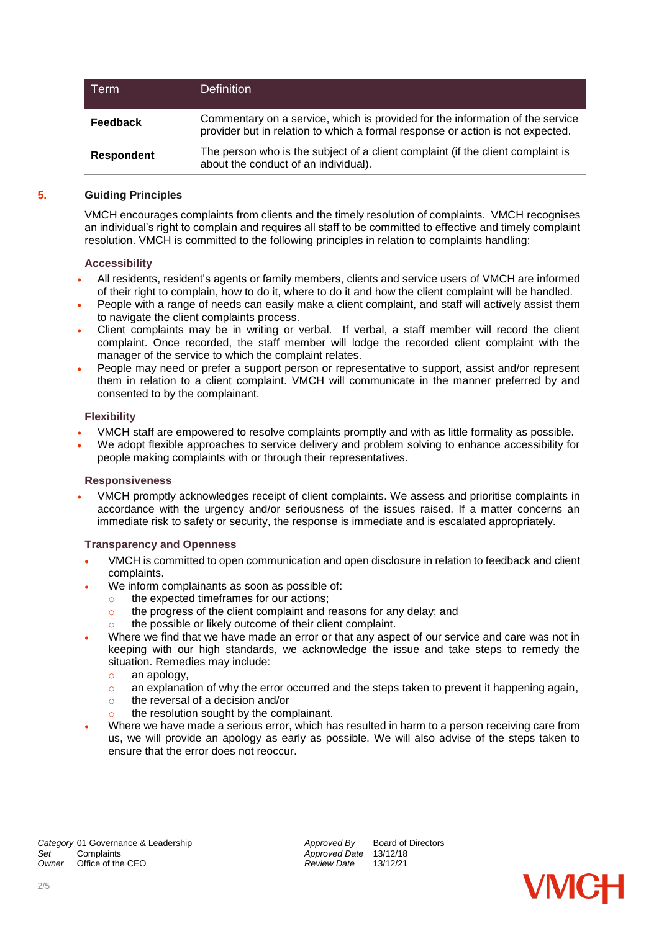| Term              | <b>Definition</b>                                                                                                                                               |
|-------------------|-----------------------------------------------------------------------------------------------------------------------------------------------------------------|
| <b>Feedback</b>   | Commentary on a service, which is provided for the information of the service<br>provider but in relation to which a formal response or action is not expected. |
| <b>Respondent</b> | The person who is the subject of a client complaint (if the client complaint is<br>about the conduct of an individual).                                         |

## **5. Guiding Principles**

VMCH encourages complaints from clients and the timely resolution of complaints. VMCH recognises an individual's right to complain and requires all staff to be committed to effective and timely complaint resolution. VMCH is committed to the following principles in relation to complaints handling:

## **Accessibility**

- All residents, resident's agents or family members, clients and service users of VMCH are informed of their right to complain, how to do it, where to do it and how the client complaint will be handled.
- People with a range of needs can easily make a client complaint, and staff will actively assist them to navigate the client complaints process.
- Client complaints may be in writing or verbal. If verbal, a staff member will record the client complaint. Once recorded, the staff member will lodge the recorded client complaint with the manager of the service to which the complaint relates.
- People may need or prefer a support person or representative to support, assist and/or represent them in relation to a client complaint. VMCH will communicate in the manner preferred by and consented to by the complainant.

## **Flexibility**

- VMCH staff are empowered to resolve complaints promptly and with as little formality as possible.
- We adopt flexible approaches to service delivery and problem solving to enhance accessibility for people making complaints with or through their representatives.

#### **Responsiveness**

 VMCH promptly acknowledges receipt of client complaints. We assess and prioritise complaints in accordance with the urgency and/or seriousness of the issues raised. If a matter concerns an immediate risk to safety or security, the response is immediate and is escalated appropriately.

#### **Transparency and Openness**

- VMCH is committed to open communication and open disclosure in relation to feedback and client complaints.
- We inform complainants as soon as possible of:
	- o the expected timeframes for our actions;
	- o the progress of the client complaint and reasons for any delay; and
	- o the possible or likely outcome of their client complaint.
- Where we find that we have made an error or that any aspect of our service and care was not in keeping with our high standards, we acknowledge the issue and take steps to remedy the situation. Remedies may include:
	- o an apology,
	- $\circ$  an explanation of why the error occurred and the steps taken to prevent it happening again,
	- $\circ$  the reversal of a decision and/or
	- the resolution sought by the complainant.
- Where we have made a serious error, which has resulted in harm to a person receiving care from us, we will provide an apology as early as possible. We will also advise of the steps taken to ensure that the error does not reoccur.

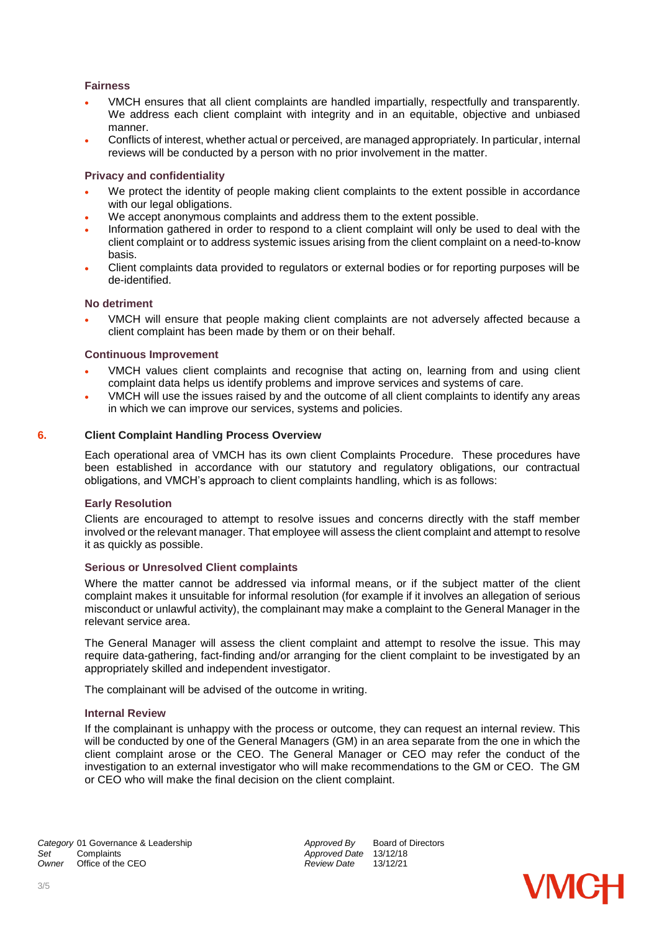# **Fairness**

- VMCH ensures that all client complaints are handled impartially, respectfully and transparently. We address each client complaint with integrity and in an equitable, objective and unbiased manner.
- Conflicts of interest, whether actual or perceived, are managed appropriately. In particular, internal reviews will be conducted by a person with no prior involvement in the matter.

## **Privacy and confidentiality**

- We protect the identity of people making client complaints to the extent possible in accordance with our legal obligations.
- We accept anonymous complaints and address them to the extent possible.
- Information gathered in order to respond to a client complaint will only be used to deal with the client complaint or to address systemic issues arising from the client complaint on a need-to-know basis.
- Client complaints data provided to regulators or external bodies or for reporting purposes will be de-identified.

## **No detriment**

 VMCH will ensure that people making client complaints are not adversely affected because a client complaint has been made by them or on their behalf.

#### **Continuous Improvement**

- VMCH values client complaints and recognise that acting on, learning from and using client complaint data helps us identify problems and improve services and systems of care.
- VMCH will use the issues raised by and the outcome of all client complaints to identify any areas in which we can improve our services, systems and policies.

## **6. Client Complaint Handling Process Overview**

Each operational area of VMCH has its own client Complaints Procedure. These procedures have been established in accordance with our statutory and regulatory obligations, our contractual obligations, and VMCH's approach to client complaints handling, which is as follows:

#### **Early Resolution**

Clients are encouraged to attempt to resolve issues and concerns directly with the staff member involved or the relevant manager. That employee will assess the client complaint and attempt to resolve it as quickly as possible.

#### **Serious or Unresolved Client complaints**

Where the matter cannot be addressed via informal means, or if the subject matter of the client complaint makes it unsuitable for informal resolution (for example if it involves an allegation of serious misconduct or unlawful activity), the complainant may make a complaint to the General Manager in the relevant service area.

The General Manager will assess the client complaint and attempt to resolve the issue. This may require data-gathering, fact-finding and/or arranging for the client complaint to be investigated by an appropriately skilled and independent investigator.

The complainant will be advised of the outcome in writing.

#### **Internal Review**

If the complainant is unhappy with the process or outcome, they can request an internal review. This will be conducted by one of the General Managers (GM) in an area separate from the one in which the client complaint arose or the CEO. The General Manager or CEO may refer the conduct of the investigation to an external investigator who will make recommendations to the GM or CEO. The GM or CEO who will make the final decision on the client complaint.

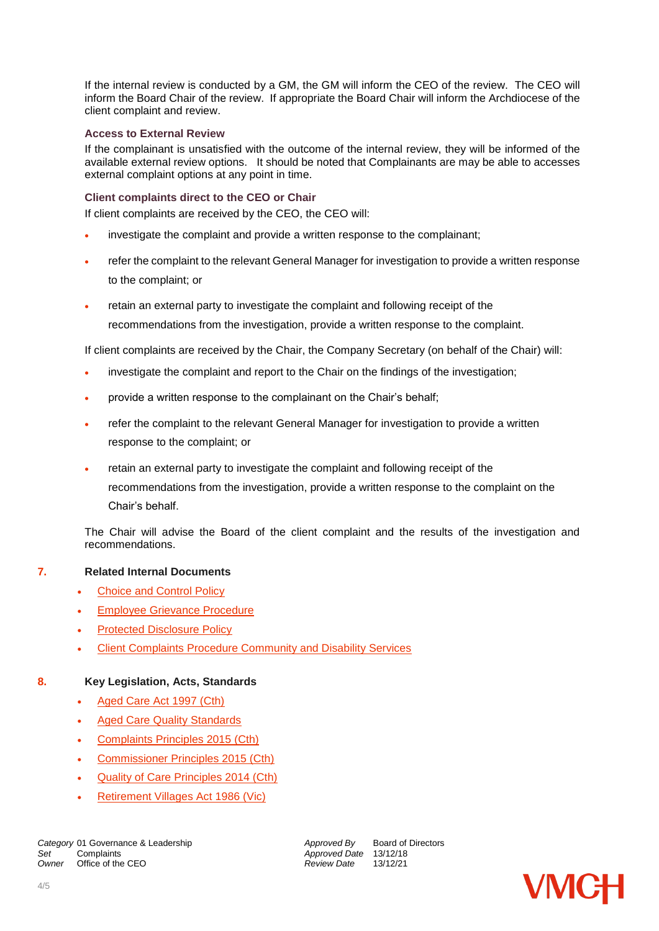If the internal review is conducted by a GM, the GM will inform the CEO of the review. The CEO will inform the Board Chair of the review. If appropriate the Board Chair will inform the Archdiocese of the client complaint and review.

## **Access to External Review**

If the complainant is unsatisfied with the outcome of the internal review, they will be informed of the available external review options. It should be noted that Complainants are may be able to accesses external complaint options at any point in time.

## **Client complaints direct to the CEO or Chair**

If client complaints are received by the CEO, the CEO will:

- investigate the complaint and provide a written response to the complainant;
- refer the complaint to the relevant General Manager for investigation to provide a written response to the complaint; or
- retain an external party to investigate the complaint and following receipt of the recommendations from the investigation, provide a written response to the complaint.

If client complaints are received by the Chair, the Company Secretary (on behalf of the Chair) will:

- investigate the complaint and report to the Chair on the findings of the investigation;
- provide a written response to the complainant on the Chair's behalf;
- refer the complaint to the relevant General Manager for investigation to provide a written response to the complaint; or
- retain an external party to investigate the complaint and following receipt of the recommendations from the investigation, provide a written response to the complaint on the Chair's behalf.

The Chair will advise the Board of the client complaint and the results of the investigation and recommendations.

# **7. Related Internal Documents**

- [Choice and Control Policy](https://vmch.sharepoint.com/:b:/r/sites/theHub/PMS/Policies/Choice%20and%20Control%20Policy.pdf?csf=1&e=10tVmA)
- [Employee Grievance Procedure](https://vmch.sharepoint.com/:b:/r/sites/theHub/PMS/Procedures/Employee%20Grievance%20Procedure.pdf?csf=1&e=DOfELb)
- [Protected Disclosure Policy](https://vmch.sharepoint.com/:b:/r/sites/theHub/PMS/Policies/Protected%20Disclosure%20Policy.pdf?csf=1&e=NddcdH)
- [Client Complaints Procedure Community and Disability Services](https://vmch.sharepoint.com/:b:/r/sites/theHub/PMS/Procedures/Client%20Complaints%20Procedure%20Community%20and%20Disability%20Services.pdf?csf=1&e=Kxqj6b)

# **8. Key Legislation, Acts, Standards**

- [Aged Care Act 1997 \(Cth\)](https://www.legislation.gov.au/Details/C2017C00241)
- [Aged Care Quality Standards](https://agedcare.health.gov.au/quality/aged-care-quality-standards)
- [Complaints Principles 2015 \(Cth\)](https://www.legislation.gov.au/Details/F2018C00377)
- [Commissioner Principles 2015 \(Cth\)](https://www.legislation.gov.au/Details/F2015L02127/Explanatory%20Statement/Text)
- [Quality of Care Principles 2014 \(Cth\)](https://www.legislation.gov.au/Details/F2014L00830)
- [Retirement Villages Act 1986 \(Vic\)](http://www.legislation.vic.gov.au/Domino/Web_Notes/LDMS/LTObject_Store/LTObjSt5.nsf/DDE300B846EED9C7CA257616000A3571/ADC4EEDF9A9F8867CA25781000141D2A/$FILE/86-126aa064%20authorised.pdf)